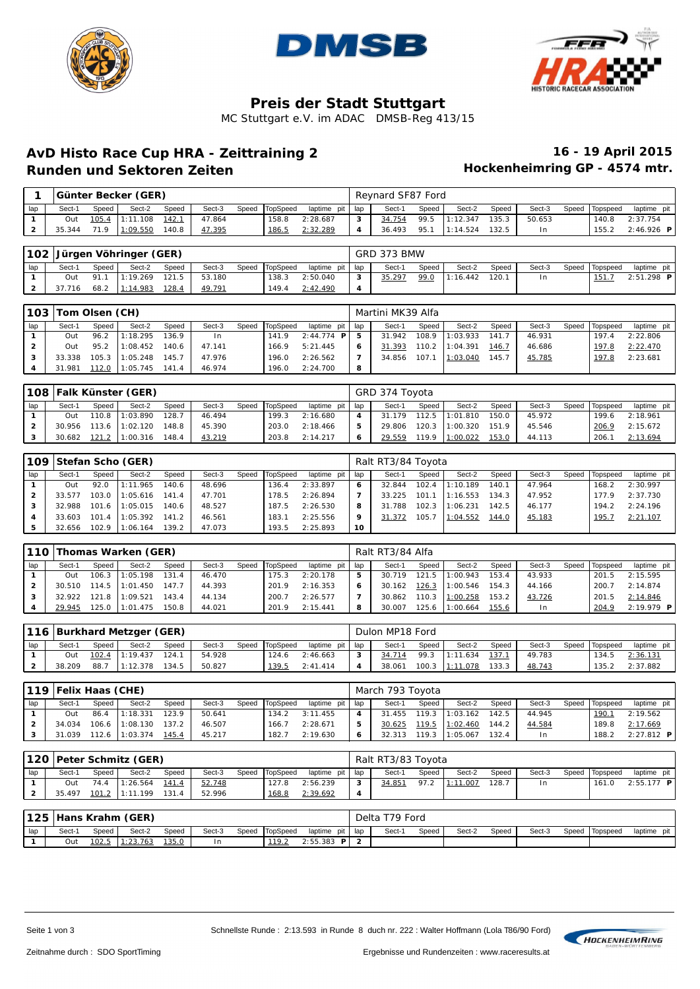





# **Preis der Stadt Stuttgart**

MC Stuttgart e.V. im ADAC DMSB-Reg 413/15

## **AvD Histo Race Cup HRA - Zeittraining 2 16 - 19 April 2015 Runden und Sektoren Zeiten**

|     |        |       | Günter Becker (GER) |       |        |                |             |     | Revnard SF87 Ford |       |          |        |        |                |              |
|-----|--------|-------|---------------------|-------|--------|----------------|-------------|-----|-------------------|-------|----------|--------|--------|----------------|--------------|
| lap | Sect-1 | Speed | Sect-2              | Speed | Sect-3 | Speed TopSpeed | laptime pit | lap | Sect-1            | Speed | Sect-2   | Speed  | Sect-3 | Speed Topspeed | laptime pit  |
|     | Out    |       | 105.4 1:11.108      | 142.1 | 47.864 | 158.8          | 2:28.687    | 3   | 34.754            | 99.5  | 1:12.347 | 135.3  | 50.653 | 140.8          | 2:37.754     |
|     | 35.344 | 71.9  | 1:09.550            | 140.8 | 47.395 | 186.5          | 2:32.289    | 4   | 36.493            | 95.1  | 1:14.524 | ' 32.5 |        | 155.2          | $2:46.926$ P |

|     |        |       | 102 Jürgen Vöhringer (GER) |       |        |                |               |       | GRD 373 BMW |       |          |       |        |                |               |
|-----|--------|-------|----------------------------|-------|--------|----------------|---------------|-------|-------------|-------|----------|-------|--------|----------------|---------------|
| lap | Sect-1 | Speed | Sect-2                     | Speed | Sect-3 | Speed TopSpeed | laptime pit I | l lap | Sect-1      | Speed | Sect-2   | Speed | Sect-3 | Speed Topspeed | laptime pit I |
|     | Out    | 91.   | 1:19.269                   | 121.5 | 53.180 | 138.3          | 2:50.040      | 3     | 35.297      | 99.0  | 1:16.442 | 120.1 | l n    | 151.7          | $2:51.298$ P  |
|     | 37.716 | 68.2  | 1:14.983                   | 128.4 | 49.791 | 49.4           | 2:42.490      | -4    |             |       |          |       |        |                |               |

|     | 103 Tom Olsen (CH) |       |          |       |        |       |          |                 |              | Martini MK39 Alfa |       |          |       |        |       |          |             |
|-----|--------------------|-------|----------|-------|--------|-------|----------|-----------------|--------------|-------------------|-------|----------|-------|--------|-------|----------|-------------|
| lap | Sect-1             | Speed | Sect-2   | Speed | Sect-3 | Speed | TopSpeed | laptime pit lap |              | Sect-1            | Speed | Sect-2   | Speed | Sect-3 | Speed | Topspeed | laptime pit |
|     | Out                | 96.2  | 1:18.295 | 136.9 | In.    |       | 141.9    | $2:44.774$ P    | -5           | 31.942            | 108.9 | 1:03.933 | 141.7 | 46.931 |       | 197.4    | 2:22.806    |
|     | Out                | 95.2  | 1:08.452 | 140.6 | 47.141 |       | 166.9    | 5:21.445        | 6            | 31.393            | 110.2 | 1:04.391 | 146.7 | 46.686 |       | 197.8    | 2:22.470    |
|     | 33.338             | 105.3 | 1:05.248 | 145.7 | 47.976 |       | 196.0    | 2:26.562        | $\mathbf{z}$ | 34.856            | 107.  | 1:03.040 | 145.7 | 45.785 |       | 197.8    | 2:23.681    |
|     | 31.981             | 112.0 | 1:05.745 | 141.4 | 46.974 |       | 196.0    | 2:24.700        | 8            |                   |       |          |       |        |       |          |             |

|     |        |       | 108 Falk Künster (GER) |       |        |       |                 |                   |                     | GRD 374 Toyota |         |          |       |        |                |             |
|-----|--------|-------|------------------------|-------|--------|-------|-----------------|-------------------|---------------------|----------------|---------|----------|-------|--------|----------------|-------------|
| lap | Sect-1 | Speed | Sect-2                 | Speed | Sect-3 | Speed | <b>TopSpeed</b> | laptime pit I lap |                     | Sect-1         | Speed   | Sect-2   | Speed | Sect-3 | Speed Topspeed | laptime pit |
|     | Out    |       | 110.8 1:03.890         | 128.7 | 46.494 |       | 199.3           | 2:16.680          | $\overline{\bf{4}}$ | 31.179         | 112.5   | 1:01.810 | 150.0 | 45.972 | 199.6          | 2:18.961    |
|     | 30.956 |       | 113.6 1:02.120         | 148.8 | 45.390 |       | 203.0           | 2:18.466          | 5                   | 29.806         | $120.3$ | 1:00.320 | 151.9 | 45.546 | 206.9          | 2:15.672    |
|     | 30.682 |       | 121.2 1:00.316         | 148.4 | 43.219 |       | 203.8           | 2:14.217          | 6                   | 29.559         | 119.9   | 1:00.022 | 153.0 | 44.113 | 206.1          | 2:13.694    |

|     | 109 Stefan Scho (GER) |       |                 |       |        |       |          |             |       | Ralt RT3/84 Toyota |       |          |       |        |       |          |             |
|-----|-----------------------|-------|-----------------|-------|--------|-------|----------|-------------|-------|--------------------|-------|----------|-------|--------|-------|----------|-------------|
| lap | Sect-1                | Speed | Sect-2          | Speed | Sect-3 | Speed | TopSpeed | laptime pit | l lap | Sect-1             | Speed | Sect-2   | Speed | Sect-3 | Speed | Topspeed | laptime pit |
|     | Out                   | 92.0  | 1:11.965        | 140.6 | 48.696 |       | 136.4    | 2:33.897    | 6     | 32.844             | 102.4 | 1:10.189 | 140.1 | 47.964 |       | 168.2    | 2:30.997    |
|     | 33.577                | 103.0 | 1:05.616        | 141.4 | 47.701 |       | 178.5    | 2:26.894    |       | 33.225             | 101.1 | 1:16.553 | 134.3 | 47.952 |       | 177.9    | 2:37.730    |
|     | 32.988                |       | 101.6 11:05.015 | 140.6 | 48.527 |       | 187.5    | 2:26.530    | 8     | 31.788             | 102.3 | 1:06.231 | 142.5 | 46.177 |       | 194.2    | 2:24.196    |
|     | 33.603                | 101.4 | 1:05.392        | 141.2 | 46.561 |       | 183.1    | 2:25.556    | 9     | 31.372             | 105.7 | 1:04.552 | 144.0 | 45.183 |       | 195.7    | 2:21.107    |
|     | 32.656                | 102.9 | 1:06.164        | 139.2 | 47.073 |       | 193.5    | 2:25.893    | -10   |                    |       |          |       |        |       |          |             |

|     | 110 Thomas Warken (GER)<br>TopSpeed<br>Sect-2<br>Sect-3<br>Sect-1<br>Speed<br>Speed<br>Speed<br>1:05.198<br>131.4<br>46.470<br>106.3<br>75.3<br>Out<br>147.7<br>44.393<br>114.5 11:01.450<br>30.510<br>201.9 |       |          |       |        |  |       |             |     | Ralt RT3/84 Alfa |       |          |       |        |       |          |              |
|-----|--------------------------------------------------------------------------------------------------------------------------------------------------------------------------------------------------------------|-------|----------|-------|--------|--|-------|-------------|-----|------------------|-------|----------|-------|--------|-------|----------|--------------|
| lap |                                                                                                                                                                                                              |       |          |       |        |  |       | laptime pit | lap | Sect-1           | Speed | Sect-2   | Speed | Sect-3 | Speed | Topspeed | laptime pit  |
|     |                                                                                                                                                                                                              |       |          |       |        |  |       | 2:20.178    | 5   | 30.719           | 121.5 | 1:00.943 | 153.4 | 43.933 |       | 201.5    | 2:15.595     |
|     |                                                                                                                                                                                                              |       |          |       |        |  |       | 2:16.353    | 6   | 30.162           | 126.3 | 1:00.546 | 154.3 | 44.166 |       | 200.7    | 2:14.874     |
|     | 32.922                                                                                                                                                                                                       | 121.8 | 1:09.521 | 143.4 | 44.134 |  | 200.7 | 2:26.577    |     | 30.862           | 110.3 | 1:00.258 | 153.2 | 43.726 |       | 201.5    | 2:14.846     |
|     | 29.945                                                                                                                                                                                                       | 125.0 | 1:01.475 | 150.8 | 44.021 |  | 201.9 | 2:15.441    | 8   | 30.007           | 125.6 | 1:00.664 | 155.6 | In     |       | 204.9    | $2:19.979$ P |

|     |        |       | 116 Burkhard Metzger (GER) |        |        |                |                   |                  | Dulon MP18 Ford |       |                |       |        |                |             |
|-----|--------|-------|----------------------------|--------|--------|----------------|-------------------|------------------|-----------------|-------|----------------|-------|--------|----------------|-------------|
| lap | Sect-1 | Speed | Sect-2                     | Speed  | Sect-3 | Speed TopSpeed | laptime pit I lap |                  | Sect-1          | Speed | Sect-2         | Speed | Sect-3 | Speed Topspeed | laptime pit |
|     | Out    |       | 102.4 1:19.437             | ' 24.  | 54.928 | 124.6          | 2:46.663          | ີ                | 34.714          | 99.3  | 1:11.634       | 137.7 | 49.783 | 134.5          | 2:36.131    |
|     | 38.209 | 88.   | 12.378                     | ' 34.5 | 50.827 | 139.5          | 2: 41.414         | $\boldsymbol{A}$ | 38.061          |       | 100.3 1:11.078 | 133.3 | 48.743 | 135.2          | 2:37.882    |

|     | 119 Felix Haas (CHE) |       |                 |       |        |                |                   |   | March 793 Toyota |       |                |       |        |                |                     |
|-----|----------------------|-------|-----------------|-------|--------|----------------|-------------------|---|------------------|-------|----------------|-------|--------|----------------|---------------------|
| lap | Sect-1               | Speed | Sect-2          | Speed | Sect-3 | Speed TopSpeed | laptime pit I lap |   | Sect-1           | Speed | Sect-2         | Speed | Sect-3 | Speed Topspeed | laptime pit         |
|     | Out                  | 86.4  | 1:18.331        | 123.9 | 50.641 | 134.2          | 3:11.455          | 4 | 31.455           |       | 119.3 1:03.162 | 142.5 | 44.945 | 190.7          | 2:19.562            |
|     | 34.034               |       | 106.6 11:08.130 | 137.2 | 46.507 | 166.7          | 2:28.671          | 5 | 30.625           | 119.5 | 1:02.460       | 144.2 | 44.584 | 189.8          | 2:17.669            |
|     | 31.039               | 112.6 | 1:03.374        | 145.4 | 45.217 | 182.7          | 2:19.630          | 6 | 32.313           | 119.3 | 1:05.067       | 132.4 | I n    | 188.2          | $2:27.812$ <b>P</b> |

|     |        |         | 120   Peter Schmitz (GER) |       |        |                |               |     | Ralt RT3/83 Toyota |       |          |       |        |                |               |
|-----|--------|---------|---------------------------|-------|--------|----------------|---------------|-----|--------------------|-------|----------|-------|--------|----------------|---------------|
| lap | Sect-1 | Speed i | Sect-2                    | Speed | Sect-3 | Speed TopSpeed | laptime pit I | lap | Sect-1             | Speed | Sect-2   | Speed | Sect-3 | Speed Topspeed | laptime pit I |
|     | Out    | 74.4    | 1:26.564                  | 141.4 | 52.748 | .27.8          | 2:56.239      | 3   | 34.851             | 97.2  | 1:11.007 | 128.7 |        | 161.0          | $2:55.177$ P  |
|     | 35.497 |         | 101.2 1:11.199            | 131.4 | 52.996 | 168.8          | 2:39.692      | 4   |                    |       |          |       |        |                |               |

|     |       |               | 125 Hans Krahm (GER) |       |        |       |          |                 | Delta ' | T79 Ford |       |        |       |        |       |          |             |
|-----|-------|---------------|----------------------|-------|--------|-------|----------|-----------------|---------|----------|-------|--------|-------|--------|-------|----------|-------------|
| lap | Sect- | Speed         | Sect-2               | Speed | Sect-3 | Speed | TopSpeed | laptime pit     | lap     | Sect-    | Speed | Sect-2 | Speed | Sect-3 | Speed | Topspeed | laptime pit |
|     | Out   | <u> 102.5</u> | : 23.763             | 35.0  | l n    |       | 110      | : 55.383<br>D I | $\sim$  |          |       |        |       |        |       |          |             |

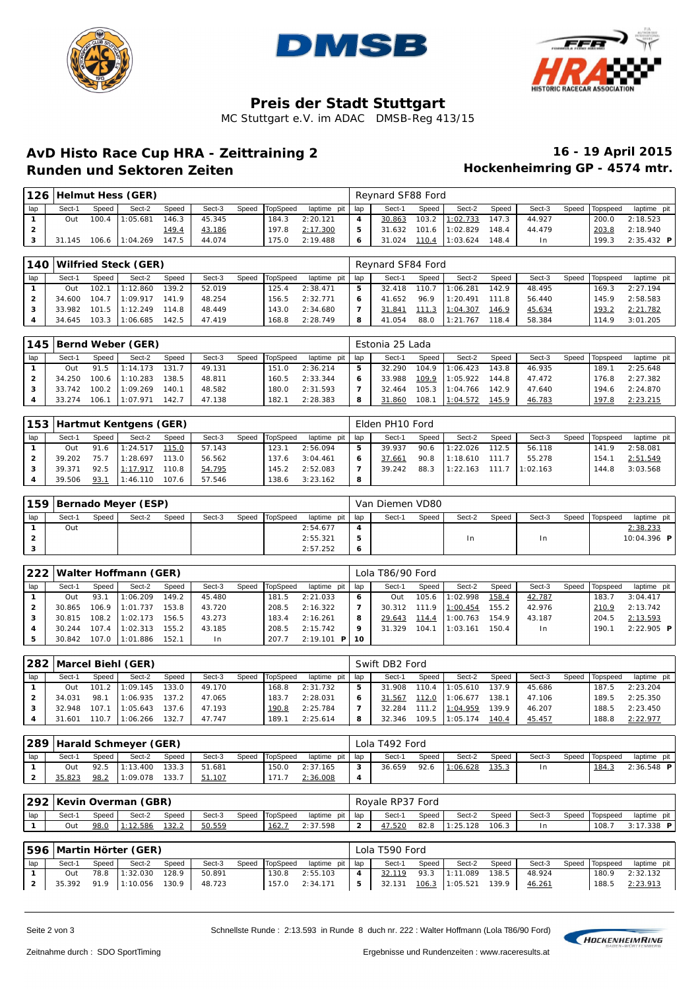





# **Preis der Stadt Stuttgart**

MC Stuttgart e.V. im ADAC DMSB-Reg 413/15

### **AvD Histo Race Cup HRA - Zeittraining 2 16 - 19 April 2015 Runden und Sektoren Zeiten**

|                |        |       | 126 Helmut Hess (GER) |       |        |       |          |             |     | Reynard SF88 Ford |       |                 |        |        |       |          |              |
|----------------|--------|-------|-----------------------|-------|--------|-------|----------|-------------|-----|-------------------|-------|-----------------|--------|--------|-------|----------|--------------|
| lap            | Sect-1 | Speed | Sect-2                | Speed | Sect-3 | Speed | TopSpeed | laptime pit | lap | Sect-1            | Speed | Sect-2          | Speed  | Sect-3 | Speed | Topspeed | laptime pit  |
|                | Out    | 100.4 | 1:05.681              | 146.3 | 45.345 |       | 184.3    | 2:20.121    | 4   | 30.863            | 103.2 | 1:02.733        | 147.3  | 44.927 |       | 200.0    | 2:18.523     |
| $\overline{2}$ |        |       |                       | 149.4 | 43.186 |       | 197.8    | 2:17.300    | 5   | 31.632            |       | 101.6 11:02.829 | 48.4   | 44.479 |       | 203.8    | 2:18.940     |
| з              | 145    | 106.6 | 1:04.269              | 147.5 | 44.074 |       | 175.0    | 2:19.488    | 6   | 31.024            | 110.4 | 1:03.624        | ' 48.4 | In.    |       | 199.3    | $2:35.432$ P |

|                |        |       | 140 Wilfried Steck (GER) |       |        |                |             |     | Revnard SF84 Ford |       |          |       |        |       |                 |             |
|----------------|--------|-------|--------------------------|-------|--------|----------------|-------------|-----|-------------------|-------|----------|-------|--------|-------|-----------------|-------------|
| lap            | Sect-1 | Speed | Sect-2                   | Speed | Sect-3 | Speed TopSpeed | laptime pit | lap | Sect-1            | Speed | Sect-2   | Speed | Sect-3 | Speed | <b>Topspeed</b> | laptime pit |
|                | Out    | 102.7 | 1:12.860                 | 139.2 | 52.019 | 125.4          | 2: 38.471   | 5   | 32.418            | 110.7 | 1:06.281 | 142.9 | 48.495 |       | 169.3           | 2:27.194    |
| $\overline{2}$ | 34.600 | 104.7 | 1:09.917                 | 141.9 | 48.254 | 156.5          | 2:32.771    | 6   | 41.652            | 96.9  | 1:20.491 | 111.8 | 56.440 |       | 145.9           | 2:58.583    |
| 3              | 33.982 |       | 101.5 11:12.249          | 114.8 | 48.449 | 143.0          | 2:34.680    |     | 31.841            | 11.3  | 1:04.307 | 146.9 | 45.634 |       | 193.2           | 2: 21.782   |
|                | 34.645 | 103.3 | 1:06.685                 | 142.5 | 47.419 | 168.8          | 2:28.749    | 8   | 41.054            | 88.0  | 1:21.767 | 118.4 | 58.384 |       | 114.9           | 3:01.205    |

|     |        |       | 145 Bernd Weber (GER) |       |        |       |                 |             |       | Estonia 25 Lada |       |          |       |        |       |          |             |
|-----|--------|-------|-----------------------|-------|--------|-------|-----------------|-------------|-------|-----------------|-------|----------|-------|--------|-------|----------|-------------|
| lap | Sect-1 | Speed | Sect-2                | Speed | Sect-3 | Speed | <b>TopSpeed</b> | laptime pit | I lap | Sect-1          | Speed | Sect-2   | Speed | Sect-3 | Speed | Topspeed | laptime pit |
|     | Out    | 91.5  | 1:14.173              | 131.  | 49.131 |       | 151.0           | 2:36.214    | 5     | 32.290          | 104.9 | 1:06.423 | 143.8 | 46.935 |       | 189.1    | 2:25.648    |
|     | 34.250 | 100.6 | 1:10.283              | 138.5 | 48.811 |       | 160.5           | 2: 33.344   | 6     | 33.988          | 109.9 | 1:05.922 | 144.8 | 47.472 |       | 176.8    | 2:27.382    |
|     | 33.742 | 100.2 | 1:09.269              | 140.7 | 48.582 |       | 180.0           | 2:31.593    | 7     | 32.464          | 105.3 | 1:04.766 | 142.9 | 47.640 |       | 194.6    | 2:24.870    |
|     | 33.274 | 106.1 | 1:07.971              | 142.7 | 47.138 |       | 182.1           | 2:28.383    | 8     | 31.860          | 108.  | 1:04.572 | 145.9 | 46.783 |       | 197.8    | 2: 23.215   |

|     |        |       | 153 Hartmut Kentgens (GER) |       |        |       |          |             |     | Elden PH10 Ford |       |          |       |          |       |          |             |
|-----|--------|-------|----------------------------|-------|--------|-------|----------|-------------|-----|-----------------|-------|----------|-------|----------|-------|----------|-------------|
| lap | Sect-1 | Speed | Sect-2                     | Speed | Sect-3 | Speed | TopSpeed | laptime pit | lap | Sect-1          | Speed | Sect-2   | Speed | Sect-3   | Speed | Topspeed | laptime pit |
|     | Out    | 91.6  | 1:24.517                   | 115.0 | 57.143 |       | 123.1    | 2:56.094    | 5   | 39.937          | 90.6  | 1:22.026 | 112.5 | 56.118   |       | 141.9    | 2:58.081    |
|     | 39.202 | 75.7  | 1:28.697                   | 113.0 | 56.562 |       | 137.6    | 3:04.461    | 6   | 37.661          | 90.8  | 1:18.610 | 111.7 | 55.278   |       | 154.     | 2:51.549    |
|     | 39.371 | 92.5  | 1:17.917                   | 110.8 | 54.795 |       | 145.2    | 2:52.083    |     | 39.242          | 88.3  | 1:22.163 | 1117  | 1:02.163 |       | 144.8    | 3:03.568    |
|     | 39.506 | 93.7  | 1:46.110                   | 107.6 | 57.546 |       | 138.6    | 3:23.162    | 8   |                 |       |          |       |          |       |          |             |

|     | 159 Bernado Meyer (ESP) |       |        |       |        |                |                   |                  | Van Diemen VD80 |       |        |       |        |                |                    |  |
|-----|-------------------------|-------|--------|-------|--------|----------------|-------------------|------------------|-----------------|-------|--------|-------|--------|----------------|--------------------|--|
| lap | Sect-1                  | Speed | Sect-2 | Speed | Sect-3 | Speed TopSpeed | laptime pit I lap |                  | Sect-1          | Speed | Sect-2 | Speed | Sect-3 | Speed Topspeed | laptime pit        |  |
|     | Out                     |       |        |       |        |                | 2:54.677          | $\boldsymbol{4}$ |                 |       |        |       |        |                | 2:38.233           |  |
|     |                         |       |        |       |        |                | 2: 55.321         | 5                |                 |       | 1n     |       | l n    |                | 10:04.396 <b>P</b> |  |
|     |                         |       |        |       |        |                | 2:57.252          | 6                |                 |       |        |       |        |                |                    |  |

|     |        |       | 222 Walter Hoffmann (GER) |       |        |                |             |        | Lola T86/90 Ford |       |          |       |        |       |          |              |
|-----|--------|-------|---------------------------|-------|--------|----------------|-------------|--------|------------------|-------|----------|-------|--------|-------|----------|--------------|
| lap | Sect-1 | Speed | Sect-2                    | Speed | Sect-3 | Speed TopSpeed | laptime pit | lap    | Sect-1           | Speed | Sect-2   | Speed | Sect-3 | Speed | Topspeed | laptime pit  |
|     | Out    | 93.1  | 1:06.209                  | 149.2 | 45.480 | 181.5          | 2:21.033    | 6      | Out              | 105.6 | 1:02.998 | 158.4 | 42.787 |       | 183.7    | 3:04.417     |
|     | 30.865 | 106.9 | 1:01.737                  | 153.8 | 43.720 | 208.5          | 2:16.322    |        | 30.312           | 111.9 | 1:00.454 | 155.2 | 42.976 |       | 210.9    | 2:13.742     |
|     | 30.815 |       | 108.2 1:02.173            | 156.5 | 43.273 | 183.4          | 2:16.261    | 8      | 29.643           | 114.4 | 1:00.763 | 154.9 | 43.187 |       | 204.5    | 2:13.593     |
|     | 30.244 | 107.4 | 1:02.313                  | 155.2 | 43.185 | 208.5          | 2:15.742    | 9      | 31.329           | 104.1 | 1:03.161 | 150.4 | $\ln$  |       | 190.1    | $2:22.905$ P |
| 5   | 30.842 | 107.0 | 1:01.886                  | 152.1 | In.    | 207.7          | 2:19.101    | P   10 |                  |       |          |       |        |       |          |              |

|                |        |       | 282 Marcel Biehl (GER) |       |        |       |          |             |     | Swift DB2 Ford |       |          |       |        |       |          |             |
|----------------|--------|-------|------------------------|-------|--------|-------|----------|-------------|-----|----------------|-------|----------|-------|--------|-------|----------|-------------|
| lap            | Sect-1 | Speed | Sect-2                 | Speed | Sect-3 | Speed | TopSpeed | laptime pit | lap | Sect-1         | Speed | Sect-2   | Speed | Sect-3 | Speed | Topspeed | laptime pit |
|                | Out    |       | $101.2$ 1:09.145       | 133.0 | 49.170 |       | 168.8    | 2:31.732    | 5   | 31.908         | 110.4 | : 05.610 | 137.9 | 45.686 |       | 187.5    | 2:23.204    |
| $\overline{2}$ | 34.031 | 98.   | 1:06.935               | 137.2 | 47.065 |       | 183.7    | 2:28.031    | 6   | 31.567         | 112.0 | 1:06.677 | 138.1 | 47.106 |       | 189.5    | 2:25.350    |
|                | 32.948 | 107.1 | 1:05.643               | 137.6 | 47.193 |       | 190.8    | 2:25.784    |     | 32.284         | 111.2 | 1:04.959 | 139.9 | 46.207 |       | 188.5    | 2:23.450    |
|                | 31.601 | 110.7 | 1:06.266               | 132.7 | 47.747 |       | 189. i   | 2:25.614    | 8   | 32.346         | 109.5 | : 05.174 | 140.4 | 45.457 |       | 188.8    | 2:22.977    |

|     |        |       | 289 Harald Schmeyer (GER) |       |        |                |               |     | Lola T492 Ford |       |          |       |        |                |              |
|-----|--------|-------|---------------------------|-------|--------|----------------|---------------|-----|----------------|-------|----------|-------|--------|----------------|--------------|
| lap | Sect-1 | Speed | Sect-2                    | Speed | Sect-3 | Speed TopSpeed | laptime pit I | lap | Sect-1         | Speed | Sect-2   | Speed | Sect-3 | Speed Topspeed | laptime pit  |
|     | Out    | 92.5  | 11:13.400                 | 133.3 | 51.681 | 150.0          | 2:37.165      | 3   | 36.659         | 92.6  | 1:06.628 | 135.3 | 1n     | 184.3          | $2:36.548$ P |
|     | 35.823 | 98.2  | 1:09.078                  | 133.7 | 51.107 | 171.7          | 2:36.008      | 4   |                |       |          |       |        |                |              |

|     |        |       | 292   Kevin Overman (GBR) |       |        |                |               |                    | Royale RP37 Ford |       |          |       |        |       |          |              |
|-----|--------|-------|---------------------------|-------|--------|----------------|---------------|--------------------|------------------|-------|----------|-------|--------|-------|----------|--------------|
| lap | Sect-1 | Speed | Sect-2                    | Speed | Sect-3 | Speed TopSpeed | laptime pit I | 'lap               | Sect-1           | Speed | Sect-2   | Speed | Sect-3 | Speed | Topspeed | laptime pit  |
|     | Out    | 98.0  | . 12.586                  | 32.2  | 50.559 | 162.           | 2:37.598      | $\mathcal{P}$<br>∼ | 47.520           | 82.8  | : 25.128 | 106.3 |        |       | 108.7    | $3:17.338$ P |

|     |        |       | 596 Martin Hörter (GER) |       |        |                |                   |                         | Lola T590 Ford |       |                     |       |        |                |                  |
|-----|--------|-------|-------------------------|-------|--------|----------------|-------------------|-------------------------|----------------|-------|---------------------|-------|--------|----------------|------------------|
| lap | Sect-1 | Speed | Sect-2                  | Speed | Sect-3 | Speed TopSpeed | laptime pit I lap |                         | Sect-1         | Speed | Sect-2              | Speed | Sect-3 | Speed Topspeed | laptime pit      |
|     | Out    | 78.8  | 1:32.030                | 128.9 | 50.891 | 130.8          | 2:55.103          | $\overline{\mathbf{4}}$ | 32.119         |       | 93.3 1:11.089 138.5 |       | 48.924 | 180.9          | 2:32.132         |
|     |        |       | 35.392 91.9 1:10.056    | 130.9 | 48.723 |                | 157.0 2:34.171    | - 5                     |                |       |                     |       | 46.261 | 188.5          | <u> 2:23.913</u> |